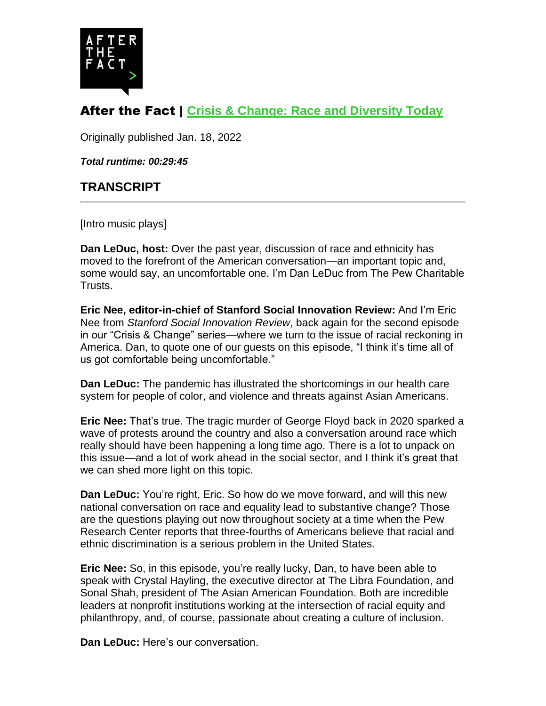

## After the Fact | **Crisis & Change: Race and Diversity Today**

Originally published Jan. 18, 2022

*Total runtime: 00:29:45*

## **TRANSCRIPT**

[Intro music plays]

**Dan LeDuc, host:** Over the past year, discussion of race and ethnicity has moved to the forefront of the American conversation—an important topic and, some would say, an uncomfortable one. I'm Dan LeDuc from The Pew Charitable Trusts.

**Eric Nee, editor-in-chief of Stanford Social Innovation Review:** And I'm Eric Nee from *Stanford Social Innovation Review*, back again for the second episode in our "Crisis & Change" series—where we turn to the issue of racial reckoning in America. Dan, to quote one of our guests on this episode, "I think it's time all of us got comfortable being uncomfortable."

**Dan LeDuc:** The pandemic has illustrated the shortcomings in our health care system for people of color, and violence and threats against Asian Americans.

**Eric Nee:** That's true. The tragic murder of George Floyd back in 2020 sparked a wave of protests around the country and also a conversation around race which really should have been happening a long time ago. There is a lot to unpack on this issue—and a lot of work ahead in the social sector, and I think it's great that we can shed more light on this topic.

**Dan LeDuc:** You're right, Eric. So how do we move forward, and will this new national conversation on race and equality lead to substantive change? Those are the questions playing out now throughout society at a time when the Pew Research Center reports that three-fourths of Americans believe that racial and ethnic discrimination is a serious problem in the United States.

**Eric Nee:** So, in this episode, you're really lucky, Dan, to have been able to speak with Crystal Hayling, the executive director at The Libra Foundation, and Sonal Shah, president of The Asian American Foundation. Both are incredible leaders at nonprofit institutions working at the intersection of racial equity and philanthropy, and, of course, passionate about creating a culture of inclusion.

**Dan LeDuc:** Here's our conversation.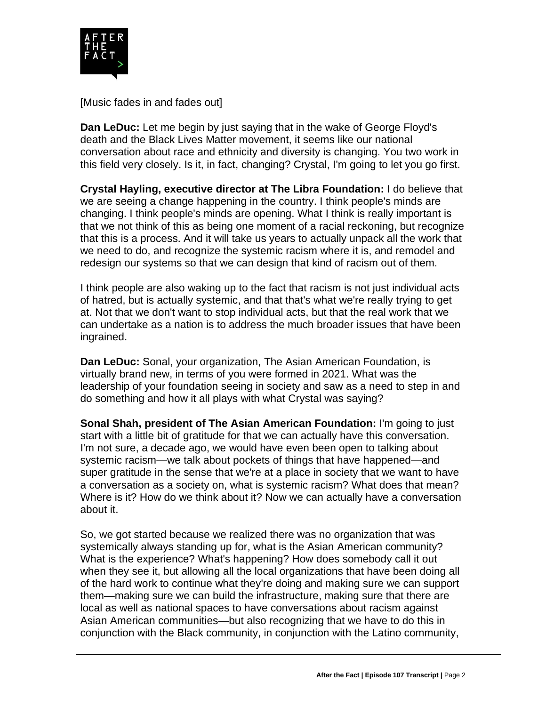

[Music fades in and fades out]

**Dan LeDuc:** Let me begin by just saying that in the wake of George Floyd's death and the Black Lives Matter movement, it seems like our national conversation about race and ethnicity and diversity is changing. You two work in this field very closely. Is it, in fact, changing? Crystal, I'm going to let you go first.

**Crystal Hayling, executive director at The Libra Foundation:** I do believe that we are seeing a change happening in the country. I think people's minds are changing. I think people's minds are opening. What I think is really important is that we not think of this as being one moment of a racial reckoning, but recognize that this is a process. And it will take us years to actually unpack all the work that we need to do, and recognize the systemic racism where it is, and remodel and redesign our systems so that we can design that kind of racism out of them.

I think people are also waking up to the fact that racism is not just individual acts of hatred, but is actually systemic, and that that's what we're really trying to get at. Not that we don't want to stop individual acts, but that the real work that we can undertake as a nation is to address the much broader issues that have been ingrained.

**Dan LeDuc:** Sonal, your organization, The Asian American Foundation, is virtually brand new, in terms of you were formed in 2021. What was the leadership of your foundation seeing in society and saw as a need to step in and do something and how it all plays with what Crystal was saying?

**Sonal Shah, president of The Asian American Foundation:** I'm going to just start with a little bit of gratitude for that we can actually have this conversation. I'm not sure, a decade ago, we would have even been open to talking about systemic racism—we talk about pockets of things that have happened—and super gratitude in the sense that we're at a place in society that we want to have a conversation as a society on, what is systemic racism? What does that mean? Where is it? How do we think about it? Now we can actually have a conversation about it.

So, we got started because we realized there was no organization that was systemically always standing up for, what is the Asian American community? What is the experience? What's happening? How does somebody call it out when they see it, but allowing all the local organizations that have been doing all of the hard work to continue what they're doing and making sure we can support them—making sure we can build the infrastructure, making sure that there are local as well as national spaces to have conversations about racism against Asian American communities—but also recognizing that we have to do this in conjunction with the Black community, in conjunction with the Latino community,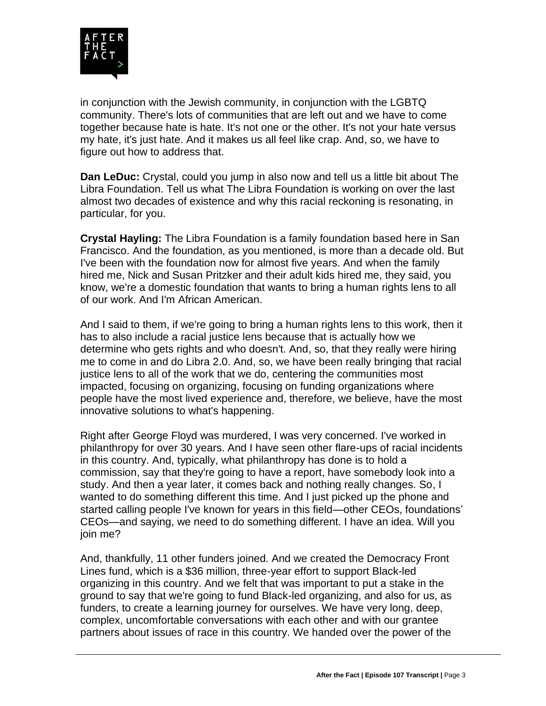

in conjunction with the Jewish community, in conjunction with the LGBTQ community. There's lots of communities that are left out and we have to come together because hate is hate. It's not one or the other. It's not your hate versus my hate, it's just hate. And it makes us all feel like crap. And, so, we have to figure out how to address that.

**Dan LeDuc:** Crystal, could you jump in also now and tell us a little bit about The Libra Foundation. Tell us what The Libra Foundation is working on over the last almost two decades of existence and why this racial reckoning is resonating, in particular, for you.

**Crystal Hayling:** The Libra Foundation is a family foundation based here in San Francisco. And the foundation, as you mentioned, is more than a decade old. But I've been with the foundation now for almost five years. And when the family hired me, Nick and Susan Pritzker and their adult kids hired me, they said, you know, we're a domestic foundation that wants to bring a human rights lens to all of our work. And I'm African American.

And I said to them, if we're going to bring a human rights lens to this work, then it has to also include a racial justice lens because that is actually how we determine who gets rights and who doesn't. And, so, that they really were hiring me to come in and do Libra 2.0. And, so, we have been really bringing that racial justice lens to all of the work that we do, centering the communities most impacted, focusing on organizing, focusing on funding organizations where people have the most lived experience and, therefore, we believe, have the most innovative solutions to what's happening.

Right after George Floyd was murdered, I was very concerned. I've worked in philanthropy for over 30 years. And I have seen other flare-ups of racial incidents in this country. And, typically, what philanthropy has done is to hold a commission, say that they're going to have a report, have somebody look into a study. And then a year later, it comes back and nothing really changes. So, I wanted to do something different this time. And I just picked up the phone and started calling people I've known for years in this field—other CEOs, foundations' CEOs—and saying, we need to do something different. I have an idea. Will you join me?

And, thankfully, 11 other funders joined. And we created the Democracy Front Lines fund, which is a \$36 million, three-year effort to support Black-led organizing in this country. And we felt that was important to put a stake in the ground to say that we're going to fund Black-led organizing, and also for us, as funders, to create a learning journey for ourselves. We have very long, deep, complex, uncomfortable conversations with each other and with our grantee partners about issues of race in this country. We handed over the power of the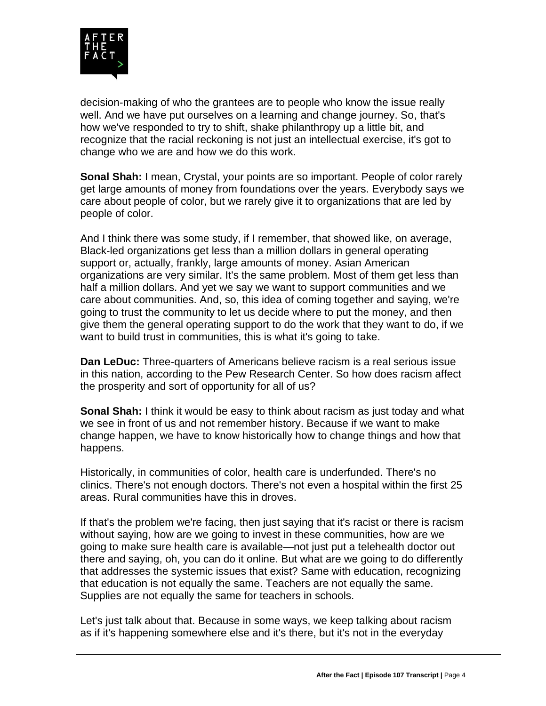

decision-making of who the grantees are to people who know the issue really well. And we have put ourselves on a learning and change journey. So, that's how we've responded to try to shift, shake philanthropy up a little bit, and recognize that the racial reckoning is not just an intellectual exercise, it's got to change who we are and how we do this work.

**Sonal Shah:** I mean, Crystal, your points are so important. People of color rarely get large amounts of money from foundations over the years. Everybody says we care about people of color, but we rarely give it to organizations that are led by people of color.

And I think there was some study, if I remember, that showed like, on average, Black-led organizations get less than a million dollars in general operating support or, actually, frankly, large amounts of money. Asian American organizations are very similar. It's the same problem. Most of them get less than half a million dollars. And yet we say we want to support communities and we care about communities. And, so, this idea of coming together and saying, we're going to trust the community to let us decide where to put the money, and then give them the general operating support to do the work that they want to do, if we want to build trust in communities, this is what it's going to take.

**Dan LeDuc:** Three-quarters of Americans believe racism is a real serious issue in this nation, according to the Pew Research Center. So how does racism affect the prosperity and sort of opportunity for all of us?

**Sonal Shah:** I think it would be easy to think about racism as just today and what we see in front of us and not remember history. Because if we want to make change happen, we have to know historically how to change things and how that happens.

Historically, in communities of color, health care is underfunded. There's no clinics. There's not enough doctors. There's not even a hospital within the first 25 areas. Rural communities have this in droves.

If that's the problem we're facing, then just saying that it's racist or there is racism without saying, how are we going to invest in these communities, how are we going to make sure health care is available—not just put a telehealth doctor out there and saying, oh, you can do it online. But what are we going to do differently that addresses the systemic issues that exist? Same with education, recognizing that education is not equally the same. Teachers are not equally the same. Supplies are not equally the same for teachers in schools.

Let's just talk about that. Because in some ways, we keep talking about racism as if it's happening somewhere else and it's there, but it's not in the everyday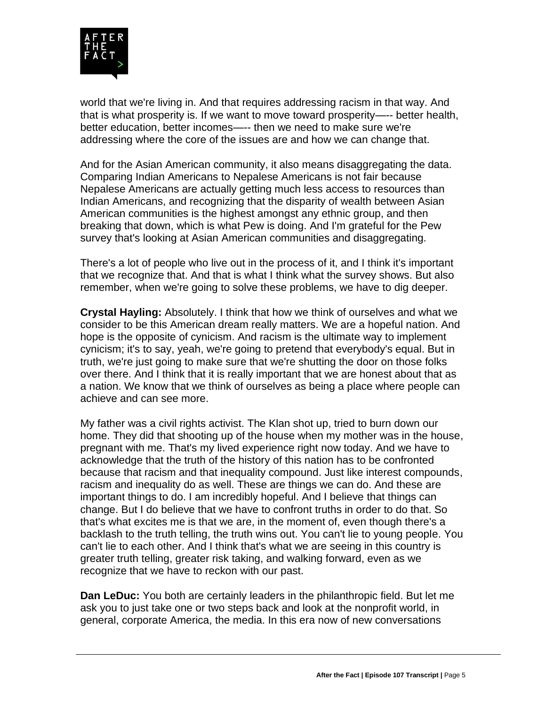

world that we're living in. And that requires addressing racism in that way. And that is what prosperity is. If we want to move toward prosperity—-- better health, better education, better incomes—-- then we need to make sure we're addressing where the core of the issues are and how we can change that.

And for the Asian American community, it also means disaggregating the data. Comparing Indian Americans to Nepalese Americans is not fair because Nepalese Americans are actually getting much less access to resources than Indian Americans, and recognizing that the disparity of wealth between Asian American communities is the highest amongst any ethnic group, and then breaking that down, which is what Pew is doing. And I'm grateful for the Pew survey that's looking at Asian American communities and disaggregating.

There's a lot of people who live out in the process of it, and I think it's important that we recognize that. And that is what I think what the survey shows. But also remember, when we're going to solve these problems, we have to dig deeper.

**Crystal Hayling:** Absolutely. I think that how we think of ourselves and what we consider to be this American dream really matters. We are a hopeful nation. And hope is the opposite of cynicism. And racism is the ultimate way to implement cynicism; it's to say, yeah, we're going to pretend that everybody's equal. But in truth, we're just going to make sure that we're shutting the door on those folks over there. And I think that it is really important that we are honest about that as a nation. We know that we think of ourselves as being a place where people can achieve and can see more.

My father was a civil rights activist. The Klan shot up, tried to burn down our home. They did that shooting up of the house when my mother was in the house, pregnant with me. That's my lived experience right now today. And we have to acknowledge that the truth of the history of this nation has to be confronted because that racism and that inequality compound. Just like interest compounds, racism and inequality do as well. These are things we can do. And these are important things to do. I am incredibly hopeful. And I believe that things can change. But I do believe that we have to confront truths in order to do that. So that's what excites me is that we are, in the moment of, even though there's a backlash to the truth telling, the truth wins out. You can't lie to young people. You can't lie to each other. And I think that's what we are seeing in this country is greater truth telling, greater risk taking, and walking forward, even as we recognize that we have to reckon with our past.

**Dan LeDuc:** You both are certainly leaders in the philanthropic field. But let me ask you to just take one or two steps back and look at the nonprofit world, in general, corporate America, the media. In this era now of new conversations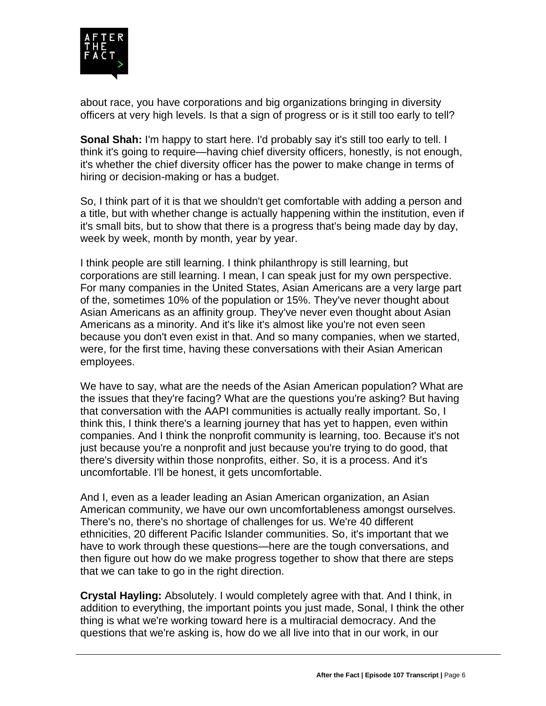

about race, you have corporations and big organizations bringing in diversity officers at very high levels. Is that a sign of progress or is it still too early to tell?

**Sonal Shah:** I'm happy to start here. I'd probably say it's still too early to tell. I think it's going to require—having chief diversity officers, honestly, is not enough, it's whether the chief diversity officer has the power to make change in terms of hiring or decision-making or has a budget.

So, I think part of it is that we shouldn't get comfortable with adding a person and a title, but with whether change is actually happening within the institution, even if it's small bits, but to show that there is a progress that's being made day by day, week by week, month by month, year by year.

I think people are still learning. I think philanthropy is still learning, but corporations are still learning. I mean, I can speak just for my own perspective. For many companies in the United States, Asian Americans are a very large part of the, sometimes 10% of the population or 15%. They've never thought about Asian Americans as an affinity group. They've never even thought about Asian Americans as a minority. And it's like it's almost like you're not even seen because you don't even exist in that. And so many companies, when we started, were, for the first time, having these conversations with their Asian American employees.

We have to say, what are the needs of the Asian American population? What are the issues that they're facing? What are the questions you're asking? But having that conversation with the AAPI communities is actually really important. So, I think this, I think there's a learning journey that has yet to happen, even within companies. And I think the nonprofit community is learning, too. Because it's not just because you're a nonprofit and just because you're trying to do good, that there's diversity within those nonprofits, either. So, it is a process. And it's uncomfortable. I'll be honest, it gets uncomfortable.

And I, even as a leader leading an Asian American organization, an Asian American community, we have our own uncomfortableness amongst ourselves. There's no, there's no shortage of challenges for us. We're 40 different ethnicities, 20 different Pacific Islander communities. So, it's important that we have to work through these questions—here are the tough conversations, and then figure out how do we make progress together to show that there are steps that we can take to go in the right direction.

**Crystal Hayling:** Absolutely. I would completely agree with that. And I think, in addition to everything, the important points you just made, Sonal, I think the other thing is what we're working toward here is a multiracial democracy. And the questions that we're asking is, how do we all live into that in our work, in our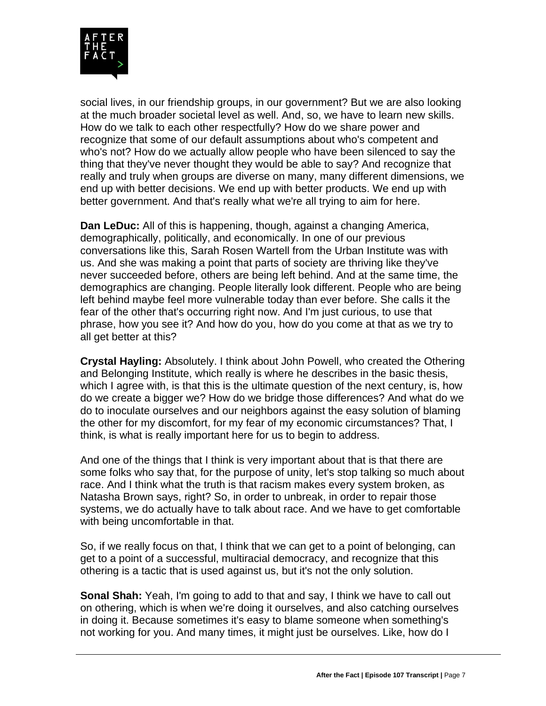

social lives, in our friendship groups, in our government? But we are also looking at the much broader societal level as well. And, so, we have to learn new skills. How do we talk to each other respectfully? How do we share power and recognize that some of our default assumptions about who's competent and who's not? How do we actually allow people who have been silenced to say the thing that they've never thought they would be able to say? And recognize that really and truly when groups are diverse on many, many different dimensions, we end up with better decisions. We end up with better products. We end up with better government. And that's really what we're all trying to aim for here.

**Dan LeDuc:** All of this is happening, though, against a changing America, demographically, politically, and economically. In one of our previous conversations like this, Sarah Rosen Wartell from the Urban Institute was with us. And she was making a point that parts of society are thriving like they've never succeeded before, others are being left behind. And at the same time, the demographics are changing. People literally look different. People who are being left behind maybe feel more vulnerable today than ever before. She calls it the fear of the other that's occurring right now. And I'm just curious, to use that phrase, how you see it? And how do you, how do you come at that as we try to all get better at this?

**Crystal Hayling:** Absolutely. I think about John Powell, who created the Othering and Belonging Institute, which really is where he describes in the basic thesis, which I agree with, is that this is the ultimate question of the next century, is, how do we create a bigger we? How do we bridge those differences? And what do we do to inoculate ourselves and our neighbors against the easy solution of blaming the other for my discomfort, for my fear of my economic circumstances? That, I think, is what is really important here for us to begin to address.

And one of the things that I think is very important about that is that there are some folks who say that, for the purpose of unity, let's stop talking so much about race. And I think what the truth is that racism makes every system broken, as Natasha Brown says, right? So, in order to unbreak, in order to repair those systems, we do actually have to talk about race. And we have to get comfortable with being uncomfortable in that.

So, if we really focus on that, I think that we can get to a point of belonging, can get to a point of a successful, multiracial democracy, and recognize that this othering is a tactic that is used against us, but it's not the only solution.

**Sonal Shah:** Yeah, I'm going to add to that and say, I think we have to call out on othering, which is when we're doing it ourselves, and also catching ourselves in doing it. Because sometimes it's easy to blame someone when something's not working for you. And many times, it might just be ourselves. Like, how do I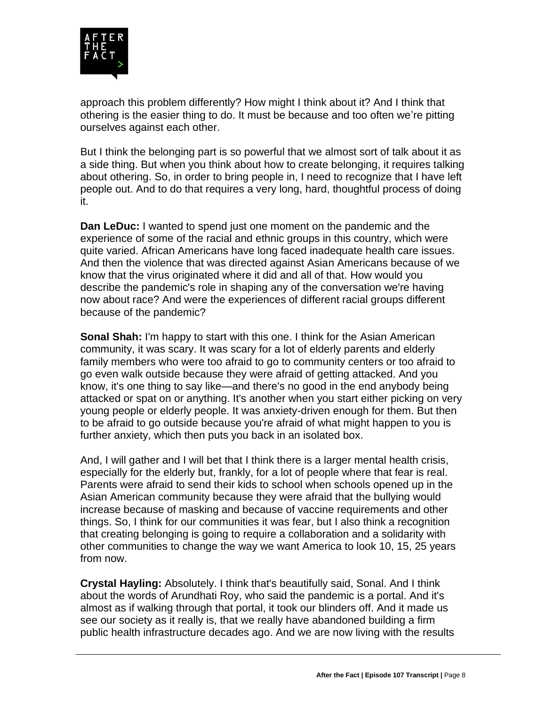

approach this problem differently? How might I think about it? And I think that othering is the easier thing to do. It must be because and too often we're pitting ourselves against each other.

But I think the belonging part is so powerful that we almost sort of talk about it as a side thing. But when you think about how to create belonging, it requires talking about othering. So, in order to bring people in, I need to recognize that I have left people out. And to do that requires a very long, hard, thoughtful process of doing it.

**Dan LeDuc:** I wanted to spend just one moment on the pandemic and the experience of some of the racial and ethnic groups in this country, which were quite varied. African Americans have long faced inadequate health care issues. And then the violence that was directed against Asian Americans because of we know that the virus originated where it did and all of that. How would you describe the pandemic's role in shaping any of the conversation we're having now about race? And were the experiences of different racial groups different because of the pandemic?

**Sonal Shah:** I'm happy to start with this one. I think for the Asian American community, it was scary. It was scary for a lot of elderly parents and elderly family members who were too afraid to go to community centers or too afraid to go even walk outside because they were afraid of getting attacked. And you know, it's one thing to say like—and there's no good in the end anybody being attacked or spat on or anything. It's another when you start either picking on very young people or elderly people. It was anxiety-driven enough for them. But then to be afraid to go outside because you're afraid of what might happen to you is further anxiety, which then puts you back in an isolated box.

And, I will gather and I will bet that I think there is a larger mental health crisis, especially for the elderly but, frankly, for a lot of people where that fear is real. Parents were afraid to send their kids to school when schools opened up in the Asian American community because they were afraid that the bullying would increase because of masking and because of vaccine requirements and other things. So, I think for our communities it was fear, but I also think a recognition that creating belonging is going to require a collaboration and a solidarity with other communities to change the way we want America to look 10, 15, 25 years from now.

**Crystal Hayling:** Absolutely. I think that's beautifully said, Sonal. And I think about the words of Arundhati Roy, who said the pandemic is a portal. And it's almost as if walking through that portal, it took our blinders off. And it made us see our society as it really is, that we really have abandoned building a firm public health infrastructure decades ago. And we are now living with the results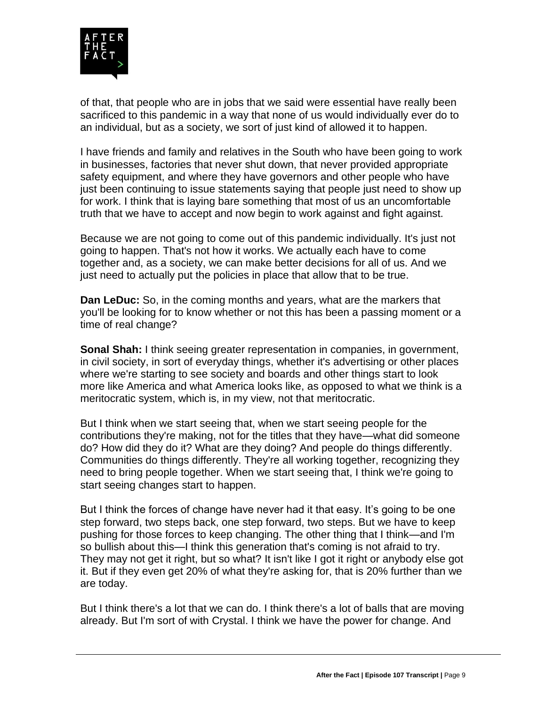

of that, that people who are in jobs that we said were essential have really been sacrificed to this pandemic in a way that none of us would individually ever do to an individual, but as a society, we sort of just kind of allowed it to happen.

I have friends and family and relatives in the South who have been going to work in businesses, factories that never shut down, that never provided appropriate safety equipment, and where they have governors and other people who have just been continuing to issue statements saying that people just need to show up for work. I think that is laying bare something that most of us an uncomfortable truth that we have to accept and now begin to work against and fight against.

Because we are not going to come out of this pandemic individually. It's just not going to happen. That's not how it works. We actually each have to come together and, as a society, we can make better decisions for all of us. And we just need to actually put the policies in place that allow that to be true.

**Dan LeDuc:** So, in the coming months and years, what are the markers that you'll be looking for to know whether or not this has been a passing moment or a time of real change?

**Sonal Shah:** I think seeing greater representation in companies, in government, in civil society, in sort of everyday things, whether it's advertising or other places where we're starting to see society and boards and other things start to look more like America and what America looks like, as opposed to what we think is a meritocratic system, which is, in my view, not that meritocratic.

But I think when we start seeing that, when we start seeing people for the contributions they're making, not for the titles that they have—what did someone do? How did they do it? What are they doing? And people do things differently. Communities do things differently. They're all working together, recognizing they need to bring people together. When we start seeing that, I think we're going to start seeing changes start to happen.

But I think the forces of change have never had it that easy. It's going to be one step forward, two steps back, one step forward, two steps. But we have to keep pushing for those forces to keep changing. The other thing that I think—and I'm so bullish about this—I think this generation that's coming is not afraid to try. They may not get it right, but so what? It isn't like I got it right or anybody else got it. But if they even get 20% of what they're asking for, that is 20% further than we are today.

But I think there's a lot that we can do. I think there's a lot of balls that are moving already. But I'm sort of with Crystal. I think we have the power for change. And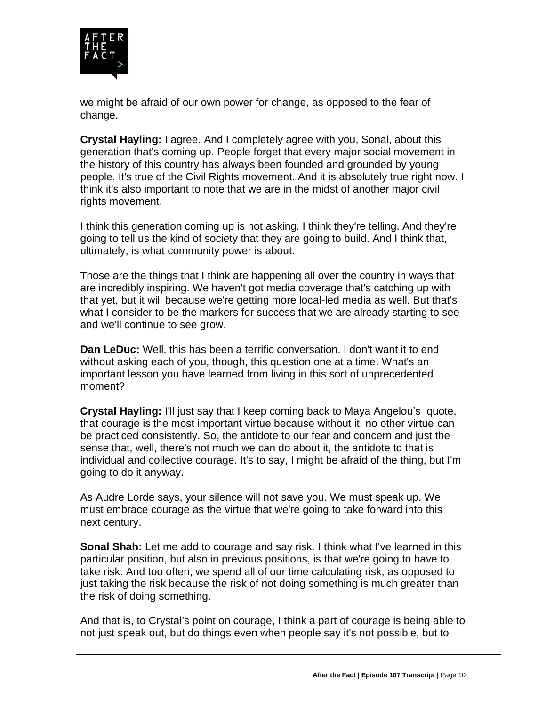

we might be afraid of our own power for change, as opposed to the fear of change.

**Crystal Hayling:** I agree. And I completely agree with you, Sonal, about this generation that's coming up. People forget that every major social movement in the history of this country has always been founded and grounded by young people. It's true of the Civil Rights movement. And it is absolutely true right now. I think it's also important to note that we are in the midst of another major civil rights movement.

I think this generation coming up is not asking. I think they're telling. And they're going to tell us the kind of society that they are going to build. And I think that, ultimately, is what community power is about.

Those are the things that I think are happening all over the country in ways that are incredibly inspiring. We haven't got media coverage that's catching up with that yet, but it will because we're getting more local-led media as well. But that's what I consider to be the markers for success that we are already starting to see and we'll continue to see grow.

**Dan LeDuc:** Well, this has been a terrific conversation. I don't want it to end without asking each of you, though, this question one at a time. What's an important lesson you have learned from living in this sort of unprecedented moment?

**Crystal Hayling:** I'll just say that I keep coming back to Maya Angelou's quote, that courage is the most important virtue because without it, no other virtue can be practiced consistently. So, the antidote to our fear and concern and just the sense that, well, there's not much we can do about it, the antidote to that is individual and collective courage. It's to say, I might be afraid of the thing, but I'm going to do it anyway.

As Audre Lorde says, your silence will not save you. We must speak up. We must embrace courage as the virtue that we're going to take forward into this next century.

**Sonal Shah:** Let me add to courage and say risk. I think what I've learned in this particular position, but also in previous positions, is that we're going to have to take risk. And too often, we spend all of our time calculating risk, as opposed to just taking the risk because the risk of not doing something is much greater than the risk of doing something.

And that is, to Crystal's point on courage, I think a part of courage is being able to not just speak out, but do things even when people say it's not possible, but to